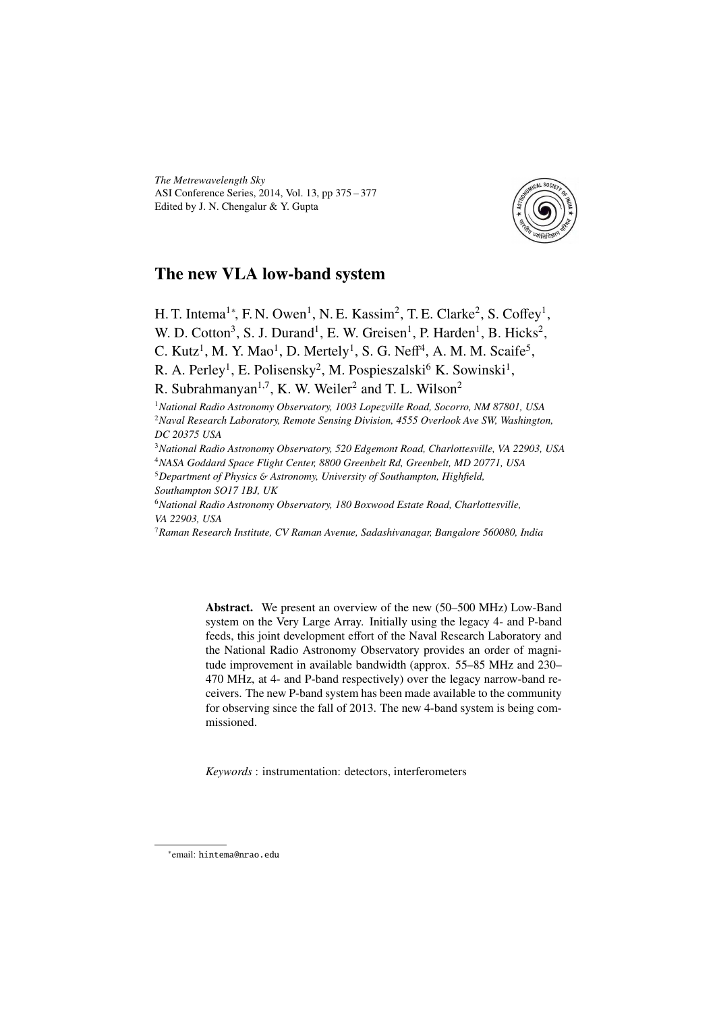*The Metrewavelength Sky* ASI Conference Series, 2014, Vol. 13, pp 375 – 377 Edited by J. N. Chengalur & Y. Gupta



## The new VLA low-band system

H. T. Intema<sup>1</sup>\*, F. N. Owen<sup>1</sup>, N. E. Kassim<sup>2</sup>, T. E. Clarke<sup>2</sup>, S. Coffey<sup>1</sup>, W. D. Cotton<sup>3</sup>, S. J. Durand<sup>1</sup>, E. W. Greisen<sup>1</sup>, P. Harden<sup>1</sup>, B. Hicks<sup>2</sup>, C. Kutz<sup>1</sup>, M. Y. Mao<sup>1</sup>, D. Mertely<sup>1</sup>, S. G. Neff<sup>4</sup>, A. M. M. Scaife<sup>5</sup>,

R. A. Perley<sup>1</sup>, E. Polisensky<sup>2</sup>, M. Pospieszalski<sup>6</sup> K. Sowinski<sup>1</sup>,

R. Subrahmanyan<sup>1,7</sup>, K. W. Weiler<sup>2</sup> and T. L. Wilson<sup>2</sup>

<sup>1</sup>*National Radio Astronomy Observatory, 1003 Lopezville Road, Socorro, NM 87801, USA* <sup>2</sup>*Naval Research Laboratory, Remote Sensing Division, 4555 Overlook Ave SW, Washington, DC 20375 USA*

<sup>3</sup>*National Radio Astronomy Observatory, 520 Edgemont Road, Charlottesville, VA 22903, USA* <sup>4</sup>*NASA Goddard Space Flight Center, 8800 Greenbelt Rd, Greenbelt, MD 20771, USA*

<sup>5</sup>*Department of Physics* & *Astronomy, University of Southampton, Highfield,*

*Southampton SO17 1BJ, UK*

<sup>6</sup>*National Radio Astronomy Observatory, 180 Boxwood Estate Road, Charlottesville, VA 22903, USA*

<sup>7</sup>*Raman Research Institute, CV Raman Avenue, Sadashivanagar, Bangalore 560080, India*

Abstract. We present an overview of the new (50–500 MHz) Low-Band system on the Very Large Array. Initially using the legacy 4- and P-band feeds, this joint development effort of the Naval Research Laboratory and the National Radio Astronomy Observatory provides an order of magnitude improvement in available bandwidth (approx. 55–85 MHz and 230– 470 MHz, at 4- and P-band respectively) over the legacy narrow-band receivers. The new P-band system has been made available to the community for observing since the fall of 2013. The new 4-band system is being commissioned.

*Keywords* : instrumentation: detectors, interferometers

<sup>∗</sup> email: hintema@nrao.edu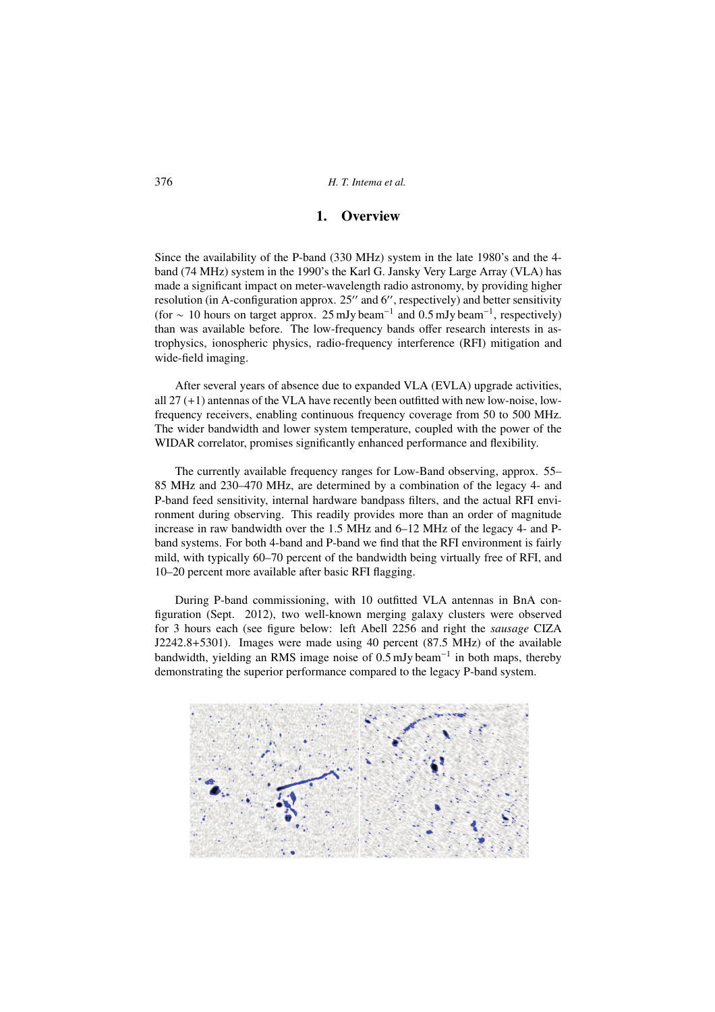## 1. Overview

Since the availability of the P-band (330 MHz) system in the late 1980's and the 4 band (74 MHz) system in the 1990's the Karl G. Jansky Very Large Array (VLA) has made a significant impact on meter-wavelength radio astronomy, by providing higher resolution (in A-configuration approx. 25" and 6", respectively) and better sensitivity (for  $\sim$  10 hours on target approx. 25 mJy beam<sup>-1</sup> and 0.5 mJy beam<sup>-1</sup>, respectively) than was available before. The low-frequency bands offer research interests in astrophysics, ionospheric physics, radio-frequency interference (RFI) mitigation and wide-field imaging.

After several years of absence due to expanded VLA (EVLA) upgrade activities, all 27 (+1) antennas of the VLA have recently been outfitted with new low-noise, lowfrequency receivers, enabling continuous frequency coverage from 50 to 500 MHz. The wider bandwidth and lower system temperature, coupled with the power of the WIDAR correlator, promises significantly enhanced performance and flexibility.

The currently available frequency ranges for Low-Band observing, approx. 55– 85 MHz and 230–470 MHz, are determined by a combination of the legacy 4- and P-band feed sensitivity, internal hardware bandpass filters, and the actual RFI environment during observing. This readily provides more than an order of magnitude increase in raw bandwidth over the 1.5 MHz and 6–12 MHz of the legacy 4- and Pband systems. For both 4-band and P-band we find that the RFI environment is fairly mild, with typically 60–70 percent of the bandwidth being virtually free of RFI, and 10–20 percent more available after basic RFI flagging.

During P-band commissioning, with 10 outfitted VLA antennas in BnA configuration (Sept. 2012), two well-known merging galaxy clusters were observed for 3 hours each (see figure below: left Abell 2256 and right the *sausage* CIZA J2242.8+5301). Images were made using 40 percent (87.5 MHz) of the available bandwidth, yielding an RMS image noise of 0.5 mJy beam<sup>-1</sup> in both maps, thereby demonstrating the superior performance compared to the legacy P-band system.